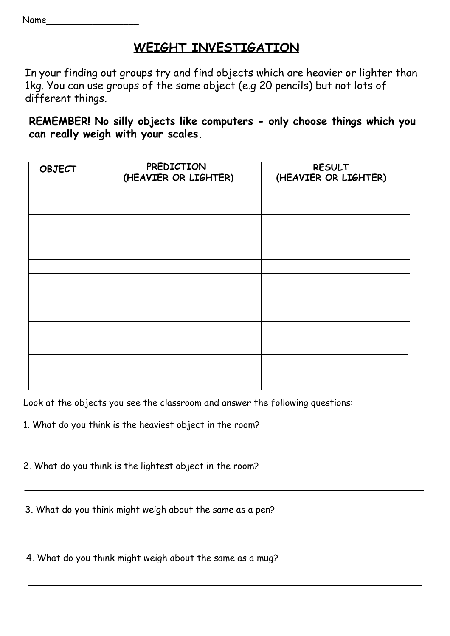Name\_\_\_\_\_\_\_\_\_\_\_\_\_\_\_\_\_\_

## **WEIGHT INVESTIGATION**

In your finding out groups try and find objects which are heavier or lighter than 1kg. You can use groups of the same object (e.g 20 pencils) but not lots of different things.

**REMEMBER! No silly objects like computers - only choose things which you can really weigh with your scales.**

| <b>OBJECT</b> | PREDICTION<br>(HEAVIER OR LIGHTER) | <b>RESULT</b><br>(HEAVIER OR LIGHTER) |
|---------------|------------------------------------|---------------------------------------|
|               |                                    |                                       |
|               |                                    |                                       |
|               |                                    |                                       |
|               |                                    |                                       |
|               |                                    |                                       |
|               |                                    |                                       |
|               |                                    |                                       |
|               |                                    |                                       |
|               |                                    |                                       |
|               |                                    |                                       |
|               |                                    |                                       |
|               |                                    |                                       |
|               |                                    |                                       |

Look at the objects you see the classroom and answer the following questions:

- 1. What do you think is the heaviest object in the room?
- 2. What do you think is the lightest object in the room?

3. What do you think might weigh about the same as a pen?

4. What do you think might weigh about the same as a mug?